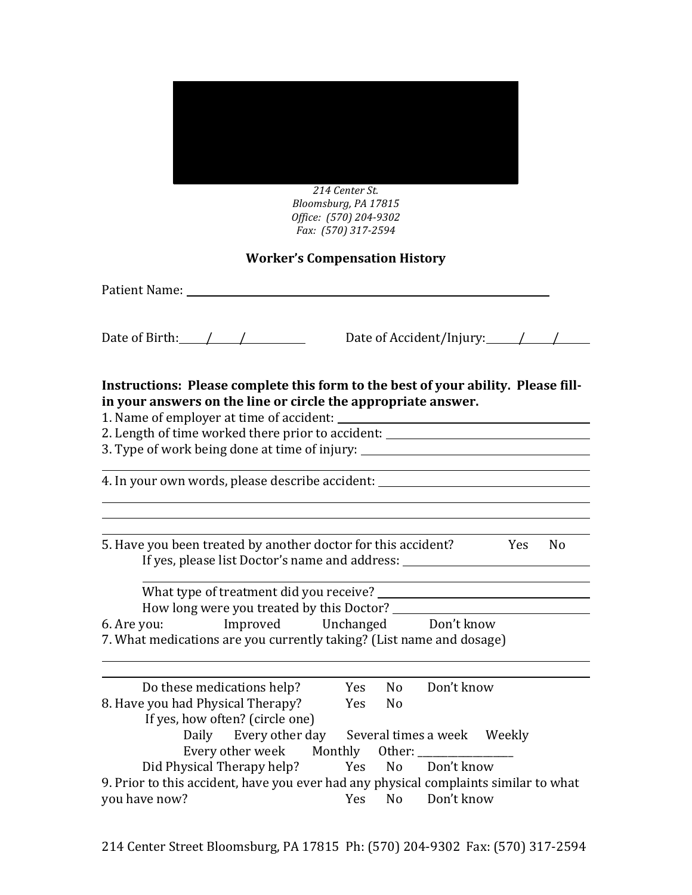

214 Center St. *Bloomsburg,\$PA\$17815 Office:* (570) 204-9302 *Fax:\$\$(570)\$317B2594*

# **Worker's Compensation History**

| Patient Name: 1996 and 1997 and 1997 and 1997 and 1997 and 1997 and 1997 and 1997 and 1997 and 1997 and 1997 and 1997 and 1997 and 1997 and 1997 and 1997 and 1997 and 1997 and 1997 and 1997 and 1997 and 1997 and 1997 and 1 |                                                                                                                                                                      |
|--------------------------------------------------------------------------------------------------------------------------------------------------------------------------------------------------------------------------------|----------------------------------------------------------------------------------------------------------------------------------------------------------------------|
| Date of Birth: $\frac{1}{2}$ /                                                                                                                                                                                                 | Date of Accident/Injury: $\angle$                                                                                                                                    |
| Instructions: Please complete this form to the best of your ability. Please fill-<br>in your answers on the line or circle the appropriate answer.                                                                             | 2. Length of time worked there prior to accident: ______________________________<br>3. Type of work being done at time of injury: __________________________________ |
|                                                                                                                                                                                                                                | 4. In your own words, please describe accident: ________________________________                                                                                     |
| 5. Have you been treated by another doctor for this accident? The Yes                                                                                                                                                          | N <sub>0</sub><br>If yes, please list Doctor's name and address: _________________________________                                                                   |
| 6. Are you: Improved Unchanged Don't know<br>7. What medications are you currently taking? (List name and dosage)                                                                                                              |                                                                                                                                                                      |
| Do these medications help?<br>8. Have you had Physical Therapy?<br>If yes, how often? (circle one)<br>Daily Every other day                                                                                                    | Don't know<br><b>Yes</b><br>N <sub>o</sub><br>Yes<br>N <sub>0</sub><br>Several times a week Weekly                                                                   |

| Every other week Monthly Other:                                                      |  |                   |
|--------------------------------------------------------------------------------------|--|-------------------|
| Did Physical Therapy help?                                                           |  | Yes No Don't know |
| 9. Prior to this accident, have you ever had any physical complaints similar to what |  |                   |
| you have now?                                                                        |  | Yes No Don't know |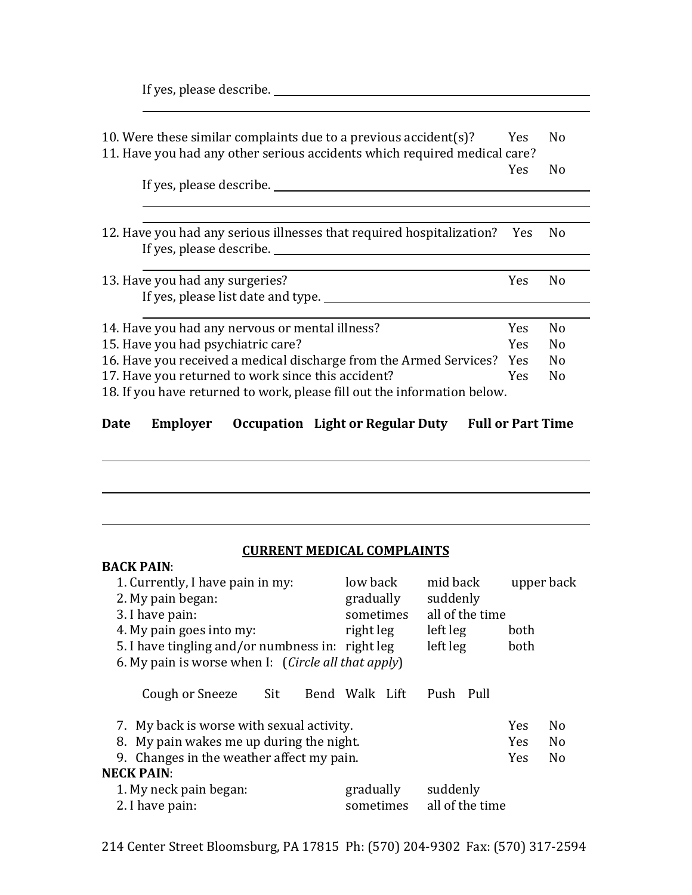| 10. Were these similar complaints due to a previous accident(s)?<br>11. Have you had any other serious accidents which required medical care?                                                                                                                   | Yes.                     | N <sub>0</sub>                   |  |  |
|-----------------------------------------------------------------------------------------------------------------------------------------------------------------------------------------------------------------------------------------------------------------|--------------------------|----------------------------------|--|--|
| If yes, please describe.                                                                                                                                                                                                                                        | <b>Yes</b>               | N <sub>0</sub>                   |  |  |
|                                                                                                                                                                                                                                                                 |                          |                                  |  |  |
| 12. Have you had any serious illnesses that required hospitalization? Yes                                                                                                                                                                                       |                          | N <sub>0</sub>                   |  |  |
| 13. Have you had any surgeries?<br>If yes, please list date and type.                                                                                                                                                                                           | <b>Yes</b>               | N <sub>0</sub>                   |  |  |
| 14. Have you had any nervous or mental illness?                                                                                                                                                                                                                 | <b>Yes</b><br><b>Yes</b> | N <sub>0</sub><br>N <sub>0</sub> |  |  |
| 15. Have you had psychiatric care?<br>16. Have you received a medical discharge from the Armed Services?<br><b>Yes</b><br>17. Have you returned to work since this accident?<br>Yes<br>18. If you have returned to work, please fill out the information below. |                          |                                  |  |  |
|                                                                                                                                                                                                                                                                 |                          |                                  |  |  |

#### Employer Occupation Light or Regular Duty Full or Part Time **Date**

## **CURRENT MEDICAL COMPLAINTS**

<u> 1980 - Johann Barn, mars eta bainar eta baina eta baina eta baina eta baina eta baina eta baina eta baina e</u>

| <b>BACK PAIN:</b>                                   |                |                 |            |                |
|-----------------------------------------------------|----------------|-----------------|------------|----------------|
| 1. Currently, I have pain in my:                    | low back       | mid back        | upper back |                |
| 2. My pain began:                                   | gradually      | suddenly        |            |                |
| 3. I have pain:                                     | sometimes      | all of the time |            |                |
| 4. My pain goes into my:                            | right leg      | left leg        | both       |                |
| 5. I have tingling and/or numbness in: right leg    |                | left leg        | both       |                |
| 6. My pain is worse when I: (Circle all that apply) |                |                 |            |                |
| Sit<br>Cough or Sneeze                              | Bend Walk Lift | Push Pull       |            |                |
| 7. My back is worse with sexual activity.           |                |                 | <b>Yes</b> | No             |
| 8. My pain wakes me up during the night.            |                |                 | <b>Yes</b> | N <sub>0</sub> |
| 9. Changes in the weather affect my pain.           |                |                 | <b>Yes</b> | N <sub>0</sub> |
| <b>NECK PAIN:</b>                                   |                |                 |            |                |
| 1. My neck pain began:                              | gradually      | suddenly        |            |                |
| 2. I have pain:                                     | sometimes      | all of the time |            |                |

214 Center Street Bloomsburg, PA 17815 Ph: (570) 204-9302 Fax: (570) 317-2594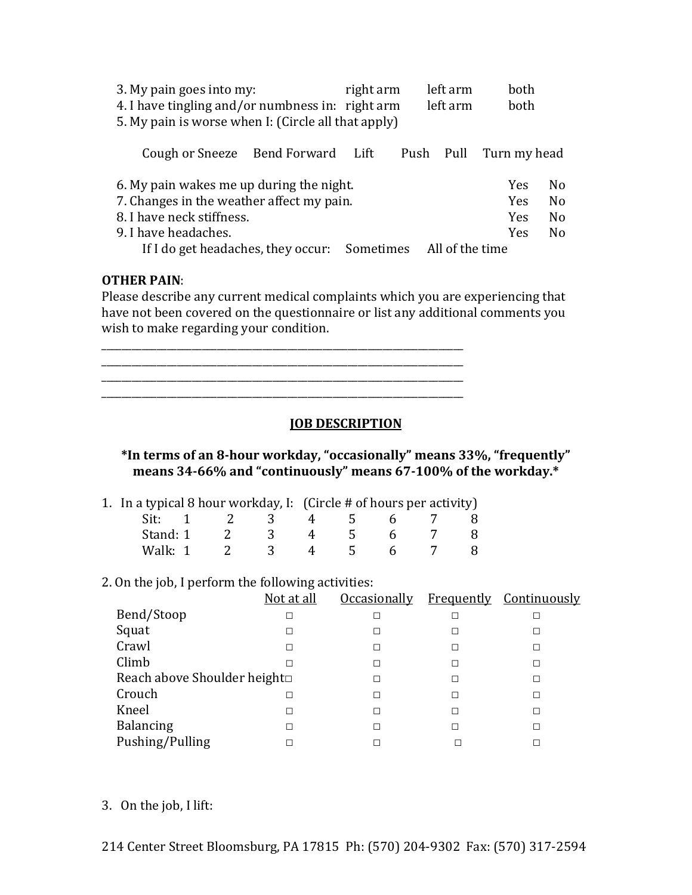| 3. My pain goes into my:<br>4. I have tingling and/or numbness in: right arm<br>5. My pain is worse when I: (Circle all that apply)                                                                        | right arm | left arm<br>left arm | <b>both</b><br><b>both</b>                           |                                                                      |
|------------------------------------------------------------------------------------------------------------------------------------------------------------------------------------------------------------|-----------|----------------------|------------------------------------------------------|----------------------------------------------------------------------|
| Cough or Sneeze Bend Forward Lift                                                                                                                                                                          |           | Push Pull            | Turn my head                                         |                                                                      |
| 6. My pain wakes me up during the night.<br>7. Changes in the weather affect my pain.<br>8. I have neck stiffness.<br>9. I have headaches.<br>If I do get headaches, they occur: Sometimes All of the time |           |                      | <b>Yes</b><br><b>Yes</b><br><b>Yes</b><br><b>Yes</b> | N <sub>0</sub><br>N <sub>0</sub><br>N <sub>0</sub><br>N <sub>0</sub> |

## **OTHER PAIN:**

Please describe any current medical complaints which you are experiencing that have not been covered on the questionnaire or list any additional comments you wish to make regarding your condition.

**JOB DESCRIPTION** 

\*In terms of an 8-hour workday, "occasionally" means 33%, "frequently" means 34-66% and "continuously" means 67-100% of the workday.\*

| 1. In a typical 8 hour workday, I: (Circle # of hours per activity) |  |            |  |   |               |              |  |  |
|---------------------------------------------------------------------|--|------------|--|---|---------------|--------------|--|--|
|                                                                     |  | Sit: 1 2 3 |  |   | 4 5 6         |              |  |  |
| Stand: 1                                                            |  | 2 3        |  | 4 | $\mathcal{L}$ | $\mathsf{h}$ |  |  |
| Walk: 1                                                             |  |            |  |   |               |              |  |  |

#### 2. On the job, I perform the following activities:

|                             | Not at all |   |   | Occasionally Frequently Continuously |
|-----------------------------|------------|---|---|--------------------------------------|
| Bend/Stoop                  |            | П | П |                                      |
| Squat                       |            | П | П | П                                    |
| Crawl                       |            | П | П |                                      |
| Climb                       |            | п | П |                                      |
| Reach above Shoulder height |            | П | П | П                                    |
| Crouch                      |            |   | П |                                      |
| Kneel                       | П          | П | П |                                      |
| <b>Balancing</b>            |            | П | П | П                                    |
| Pushing/Pulling             |            |   |   |                                      |

3. On the job, I lift: